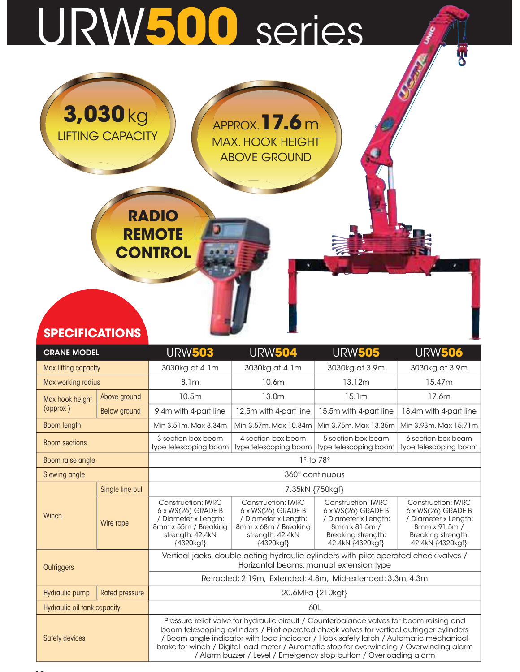## URW500 series

| <b>SPECIFICATIONS</b> |  |
|-----------------------|--|
|-----------------------|--|

3,030kg

LIFTING CAPACITY

RADIO

**REMOTE** 

**CONTROL** 

| <b>SPECIFICATIONS</b>       |                       |                                                                                                                                  |                                                                                                                                                                                                                                                                                                                                                                                                                                                   |                                                                                                                                           |                                                                                                                                    |  |  |  |  |  |  |
|-----------------------------|-----------------------|----------------------------------------------------------------------------------------------------------------------------------|---------------------------------------------------------------------------------------------------------------------------------------------------------------------------------------------------------------------------------------------------------------------------------------------------------------------------------------------------------------------------------------------------------------------------------------------------|-------------------------------------------------------------------------------------------------------------------------------------------|------------------------------------------------------------------------------------------------------------------------------------|--|--|--|--|--|--|
| <b>CRANE MODEL</b>          |                       | <b>URW503</b>                                                                                                                    | <b>URW504</b>                                                                                                                                                                                                                                                                                                                                                                                                                                     | <b>URW505</b>                                                                                                                             | <b>URW506</b>                                                                                                                      |  |  |  |  |  |  |
| Max lifting capacity        |                       | 3030kg at 4.1m                                                                                                                   | 3030kg at 4.1m                                                                                                                                                                                                                                                                                                                                                                                                                                    | 3030kg at 3.9m                                                                                                                            | 3030kg at 3.9m                                                                                                                     |  |  |  |  |  |  |
| Max working radius          |                       | 8.1 <sub>m</sub>                                                                                                                 | 10.6m                                                                                                                                                                                                                                                                                                                                                                                                                                             | 13.12m                                                                                                                                    | 15.47m                                                                                                                             |  |  |  |  |  |  |
| Max hook height             | Above ground          | 10.5m                                                                                                                            | 13.0m                                                                                                                                                                                                                                                                                                                                                                                                                                             | 15.1m                                                                                                                                     | 17.6m                                                                                                                              |  |  |  |  |  |  |
| (approx.)                   | <b>Below</b> ground   | 9.4m with 4-part line                                                                                                            | 12.5m with 4-part line                                                                                                                                                                                                                                                                                                                                                                                                                            | 15.5m with 4-part line                                                                                                                    | 18.4m with 4-part line                                                                                                             |  |  |  |  |  |  |
| Boom length                 |                       | Min 3.51m, Max 8.34m                                                                                                             | Min 3.57m, Max 10.84m                                                                                                                                                                                                                                                                                                                                                                                                                             | Min 3.75m, Max 13.35m                                                                                                                     | Min 3.93m, Max 15.71m                                                                                                              |  |  |  |  |  |  |
| <b>Boom sections</b>        |                       | 3-section box beam<br>type telescoping boom                                                                                      | 4-section box beam<br>type telescoping boom                                                                                                                                                                                                                                                                                                                                                                                                       | 5-section box beam<br>type telescoping boom                                                                                               | 6-section box beam<br>type telescoping boom                                                                                        |  |  |  |  |  |  |
| Boom raise angle            |                       | $1^\circ$ to 78 $^\circ$                                                                                                         |                                                                                                                                                                                                                                                                                                                                                                                                                                                   |                                                                                                                                           |                                                                                                                                    |  |  |  |  |  |  |
| Slewing angle               |                       | 360° continuous                                                                                                                  |                                                                                                                                                                                                                                                                                                                                                                                                                                                   |                                                                                                                                           |                                                                                                                                    |  |  |  |  |  |  |
|                             | Single line pull      | 7.35kN {750kgf}                                                                                                                  |                                                                                                                                                                                                                                                                                                                                                                                                                                                   |                                                                                                                                           |                                                                                                                                    |  |  |  |  |  |  |
| Winch                       | Wire rope             | <b>Construction: IWRC</b><br>6 x WS(26) GRADE B<br>/ Diameter x Length:<br>8mm x 55m / Breaking<br>strength: 42.4kN<br>{4320kgf} | <b>Construction: IWRC</b><br>$6 \times WS(26)$ GRADE B<br>/ Diameter x Length:<br>8mm x 68m / Breaking<br>strength: 42.4kN<br>{4320kgf}                                                                                                                                                                                                                                                                                                           | <b>Construction: IWRC</b><br>$6 \times WS(26)$ GRADE B<br>/ Diameter x Length:<br>8mm x 81.5m /<br>Breaking strength:<br>42.4kN {4320kgf} | <b>Construction: IWRC</b><br>6 x WS(26) GRADE B<br>/ Diameter x Length:<br>8mm x 91.5m /<br>Breaking strength:<br>42.4kN {4320kgf} |  |  |  |  |  |  |
| Outriggers                  |                       | Vertical jacks, double acting hydraulic cylinders with pilot-operated check valves /<br>Horizontal beams, manual extension type  |                                                                                                                                                                                                                                                                                                                                                                                                                                                   |                                                                                                                                           |                                                                                                                                    |  |  |  |  |  |  |
|                             |                       |                                                                                                                                  | Retracted: 2.19m, Extended: 4.8m, Mid-extended: 3.3m, 4.3m                                                                                                                                                                                                                                                                                                                                                                                        |                                                                                                                                           |                                                                                                                                    |  |  |  |  |  |  |
| Hydraulic pump              | <b>Rated pressure</b> |                                                                                                                                  | 20.6MPa {210kgf}                                                                                                                                                                                                                                                                                                                                                                                                                                  |                                                                                                                                           |                                                                                                                                    |  |  |  |  |  |  |
| Hydraulic oil tank capacity |                       |                                                                                                                                  |                                                                                                                                                                                                                                                                                                                                                                                                                                                   | 60L                                                                                                                                       |                                                                                                                                    |  |  |  |  |  |  |
| Safety devices              |                       |                                                                                                                                  | Pressure relief valve for hydraulic circuit / Counterbalance valves for boom raising and<br>boom telescoping cylinders / Pilot-operated check valves for vertical outrigger cylinders<br>/ Boom angle indicator with load indicator / Hook safety latch / Automatic mechanical<br>brake for winch / Digital load meter / Automatic stop for overwinding / Overwinding alarm<br>/ Alarm buzzer / Level / Emergency stop button / Overloading alarm |                                                                                                                                           |                                                                                                                                    |  |  |  |  |  |  |

APPROX.  $17.6$  m

**THE** 

MAX. HOOK HEIGHT ABOVE GROUND